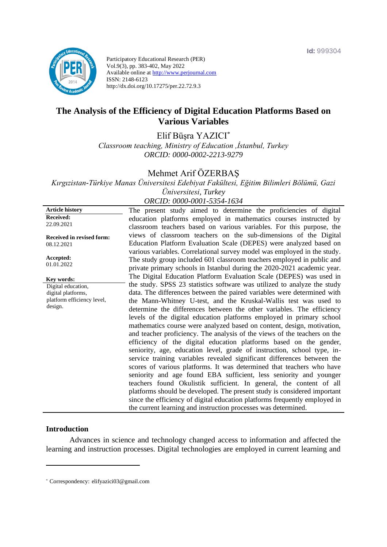

Participatory Educational Research (PER) Vol.9(3), pp. 383-402, May 2022 Available online at http://www.perjournal.com ISSN: 2148-6123 http://dx.doi.org/10.17275/per.22.72.9.3

# **The Analysis of the Efficiency of Digital Education Platforms Based on Various Variables**

Elif Büşra YAZICI\* *Classroom teaching, Ministry of Education ,İstanbul, Turkey ORCID: 0000-0002-2213-9279*

Mehmet Arif ÖZERBAŞ

*Kırgızistan-Türkiye Manas Üniversitesi Edebiyat Fakültesi, Eğitim Bilimleri Bölümü, Gazi Üniversitesi, Turkey ORCID: 0000-0001-5354-1634*

**Article history Received:**  22.09.2021 **Received in revised form:**  08.12.2021 **Accepted:** 01.01.2022 The present study aimed to determine the proficiencies of digital education platforms employed in mathematics courses instructed by classroom teachers based on various variables. For this purpose, the views of classroom teachers on the sub-dimensions of the Digital Education Platform Evaluation Scale (DEPES) were analyzed based on various variables. Correlational survey model was employed in the study. The study group included 601 classroom teachers employed in public and private primary schools in Istanbul during the 2020-2021 academic year. The Digital Education Platform Evaluation Scale (DEPES) was used in the study. SPSS 23 statistics software was utilized to analyze the study data. The differences between the paired variables were determined with the Mann-Whitney U-test, and the Kruskal-Wallis test was used to determine the differences between the other variables. The efficiency levels of the digital education platforms employed in primary school mathematics course were analyzed based on content, design, motivation, and teacher proficiency. The analysis of the views of the teachers on the efficiency of the digital education platforms based on the gender, seniority, age, education level, grade of instruction, school type, inservice training variables revealed significant differences between the scores of various platforms. It was determined that teachers who have seniority and age found EBA sufficient, less seniority and younger teachers found Okulistik sufficient. In general, the content of all platforms should be developed. The present study is considered important since the efficiency of digital education platforms frequently employed in the current learning and instruction processes was determined. **Key words:** Digital education, digital platforms, platform efficiency level, design.

#### **Introduction**

Advances in science and technology changed access to information and affected the learning and instruction processes. Digital technologies are employed in current learning and

<sup>\*</sup> [Correspondency:](mailto:Correspondency:) elifyazici03@gmail.com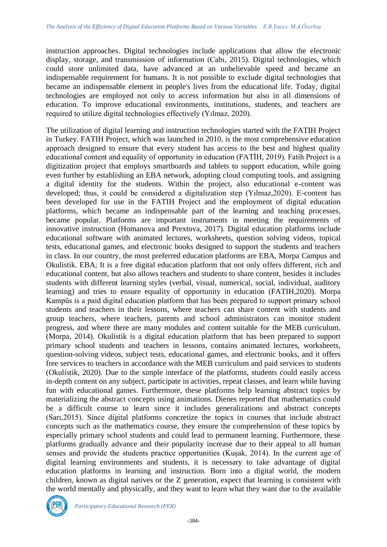instruction approaches. Digital technologies include applications that allow the electronic display, storage, and transmission of information (Cabı, 2015). Digital technologies, which could store unlimited data, have advanced at an unbelievable speed and became an indispensable requirement for humans. It is not possible to exclude digital technologies that became an indispensable element in people's lives from the educational life. Today, digital technologies are employed not only to access information but also in all dimensions of education. To improve educational environments, institutions, students, and teachers are required to utilize digital technologies effectively (Yılmaz, 2020).

The utilization of digital learning and instruction technologies started with the FATIH Project in Turkey. FATIH Project, which was launched in 2010, is the most comprehensive education approach designed to ensure that every student has access to the best and highest quality educational content and equality of opportunity in education (FATİH, 2019). Fatih Project is a digitization project that employs smartboards and tablets to support education, while going even further by establishing an EBA network, adopting cloud computing tools, and assigning a digital identity for the students. Within the project, also educational e-content was developed; thus, it could be considered a digitalization step (Yılmaz,2020). E-content has been developed for use in the FATIH Project and the employment of digital education platforms, which became an indispensable part of the learning and teaching processes, became popular. Platforms are important instruments in meeting the requirements of innovative instruction (Homanova and Prextova, 2017). Digital education platforms include educational software with animated lectures, worksheets, question solving videos, topical tests, educational games, and electronic books designed to support the students and teachers in class. In our country, the most preferred education platforms are EBA, Morpa Campus and Okulistik. EBA; It is a free digital education platform that not only offers different, rich and educational content, but also allows teachers and students to share content, besides it includes students with different learning styles (verbal, visual, numerical, social, individual, auditory learning) and tries to ensure equality of opportunity in education (FATIH,2020). Morpa Kampüs is a paid digital education platform that has been prepared to support primary school students and teachers in their lessons, where teachers can share content with students and group teachers, where teachers, parents and school administrators can monitor student progress, and where there are many modules and content suitable for the MEB curriculum. (Morpa, 2014). Okulistik is a digital education platform that has been prepared to support primary school students and teachers in lessons, contains animated lectures, worksheets, question-solving videos, subject tests, educational games, and electronic books, and it offers free services to teachers in accordance with the MEB curriculum and paid services to students (Okulistik, 2020). Due to the simple interface of the platforms, students could easily access in-depth content on any subject, participate in activities, repeat classes, and learn while having fun with educational games. Furthermore, these platforms help learning abstract topics by materializing the abstract concepts using animations. Dienes reported that mathematics could be a difficult course to learn since it includes generalizations and abstract concepts (Sarı,2015). Since digital platforms concretize the topics in courses that include abstract concepts such as the mathematics course, they ensure the comprehension of these topics by especially primary school students and could lead to permanent learning. Furthermore, these platforms gradually advance and their popularity increase due to their appeal to all human senses and provide the students practice opportunities (Kuşak, 2014). In the current age of digital learning environments and students, it is necessary to take advantage of digital education platforms in learning and instruction. Born into a digital world, the modern children, known as digital natives or the Z generation, expect that learning is consistent with the world mentally and physically, and they want to learn what they want due to the available

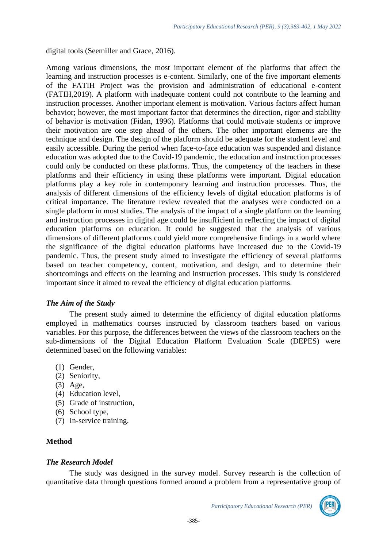digital tools (Seemiller and Grace, 2016).

Among various dimensions, the most important element of the platforms that affect the learning and instruction processes is e-content. Similarly, one of the five important elements of the FATIH Project was the provision and administration of educational e-content (FATIH,2019). A platform with inadequate content could not contribute to the learning and instruction processes. Another important element is motivation. Various factors affect human behavior; however, the most important factor that determines the direction, rigor and stability of behavior is motivation (Fidan, 1996). Platforms that could motivate students or improve their motivation are one step ahead of the others. The other important elements are the technique and design. The design of the platform should be adequate for the student level and easily accessible. During the period when face-to-face education was suspended and distance education was adopted due to the Covid-19 pandemic, the education and instruction processes could only be conducted on these platforms. Thus, the competency of the teachers in these platforms and their efficiency in using these platforms were important. Digital education platforms play a key role in contemporary learning and instruction processes. Thus, the analysis of different dimensions of the efficiency levels of digital education platforms is of critical importance. The literature review revealed that the analyses were conducted on a single platform in most studies. The analysis of the impact of a single platform on the learning and instruction processes in digital age could be insufficient in reflecting the impact of digital education platforms on education. It could be suggested that the analysis of various dimensions of different platforms could yield more comprehensive findings in a world where the significance of the digital education platforms have increased due to the Covid-19 pandemic. Thus, the present study aimed to investigate the efficiency of several platforms based on teacher competency, content, motivation, and design, and to determine their shortcomings and effects on the learning and instruction processes. This study is considered important since it aimed to reveal the efficiency of digital education platforms.

### *The Aim of the Study*

The present study aimed to determine the efficiency of digital education platforms employed in mathematics courses instructed by classroom teachers based on various variables. For this purpose, the differences between the views of the classroom teachers on the sub-dimensions of the Digital Education Platform Evaluation Scale (DEPES) were determined based on the following variables:

- (1) Gender,
- (2) Seniority,
- (3) Age,
- (4) Education level,
- (5) Grade of instruction,
- (6) School type,
- (7) In-service training.

### **Method**

### *The Research Model*

The study was designed in the survey model. Survey research is the collection of quantitative data through questions formed around a problem from a representative group of

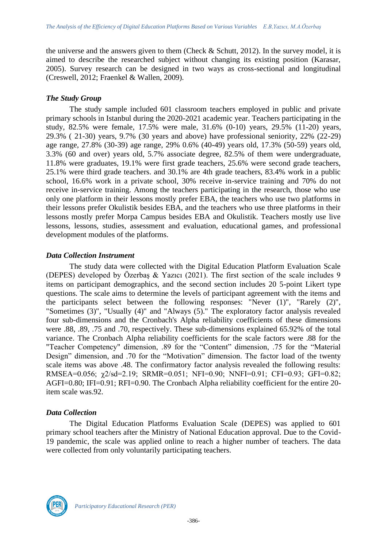the universe and the answers given to them (Check & Schutt, 2012). In the survey model, it is aimed to describe the researched subject without changing its existing position (Karasar, 2005). Survey research can be designed in two ways as cross-sectional and longitudinal (Creswell, 2012; Fraenkel & Wallen, 2009).

### *The Study Group*

The study sample included 601 classroom teachers employed in public and private primary schools in Istanbul during the 2020-2021 academic year. Teachers participating in the study, 82.5% were female, 17.5% were male, 31.6% (0-10) years, 29.5% (11-20) years, 29.3% ( 21-30) years, 9.7% (30 years and above) have professional seniority, 22% (22-29) age range, 27.8% (30-39) age range, 29% 0.6% (40-49) years old, 17.3% (50-59) years old, 3.3% (60 and over) years old, 5.7% associate degree, 82.5% of them were undergraduate, 11.8% were graduates, 19.1% were first grade teachers, 25.6% were second grade teachers, 25.1% were third grade teachers. and 30.1% are 4th grade teachers, 83.4% work in a public school, 16.6% work in a private school, 30% receive in-service training and 70% do not receive in-service training. Among the teachers participating in the research, those who use only one platform in their lessons mostly prefer EBA, the teachers who use two platforms in their lessons prefer Okulistik besides EBA, and the teachers who use three platforms in their lessons mostly prefer Morpa Campus besides EBA and Okulistik. Teachers mostly use live lessons, lessons, studies, assessment and evaluation, educational games, and professional development modules of the platforms.

### *Data Collection Instrument*

The study data were collected with the Digital Education Platform Evaluation Scale (DEPES) developed by Özerbaş & Yazıcı (2021). The first section of the scale includes 9 items on participant demographics, and the second section includes 20 5-point Likert type questions. The scale aims to determine the levels of participant agreement with the items and the participants select between the following responses: "Never (1)", "Rarely (2)", "Sometimes (3)", "Usually (4)" and "Always (5)." The exploratory factor analysis revealed four sub-dimensions and the Cronbach's Alpha reliability coefficients of these dimensions were .88, .89, .75 and .70, respectively. These sub-dimensions explained 65.92% of the total variance. The Cronbach Alpha reliability coefficients for the scale factors were .88 for the "Teacher Competency" dimension, .89 for the "Content" dimension, .75 for the "Material Design" dimension, and .70 for the "Motivation" dimension. The factor load of the twenty scale items was above .48. The confirmatory factor analysis revealed the following results: RMSEA=0.056; χ2/sd=2.19; SRMR=0.051; NFI=0.90; NNFI=0.91; CFI=0.93; GFI=0.82; AGFI=0.80; IFI=0.91; RFI=0.90. The Cronbach Alpha reliability coefficient for the entire 20 item scale was.92.

### *Data Collection*

The Digital Education Platforms Evaluation Scale (DEPES) was applied to 601 primary school teachers after the Ministry of National Education approval. Due to the Covid-19 pandemic, the scale was applied online to reach a higher number of teachers. The data were collected from only voluntarily participating teachers.

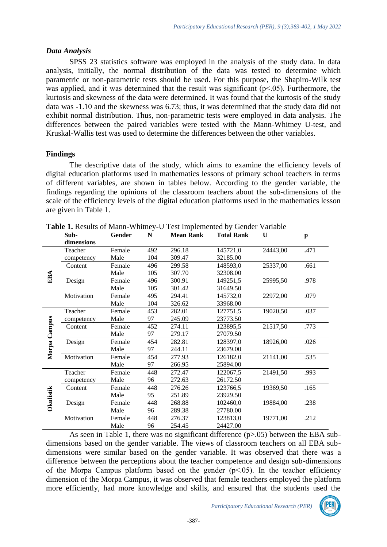### *Data Analysis*

SPSS 23 statistics software was employed in the analysis of the study data. In data analysis, initially, the normal distribution of the data was tested to determine which parametric or non-parametric tests should be used. For this purpose, the Shapiro-Wilk test was applied, and it was determined that the result was significant ( $p<.05$ ). Furthermore, the kurtosis and skewness of the data were determined. It was found that the kurtosis of the study data was -1.10 and the skewness was 6.73; thus, it was determined that the study data did not exhibit normal distribution. Thus, non-parametric tests were employed in data analysis. The differences between the paired variables were tested with the Mann-Whitney U-test, and Kruskal-Wallis test was used to determine the differences between the other variables.

## **Findings**

The descriptive data of the study, which aims to examine the efficiency levels of digital education platforms used in mathematics lessons of primary school teachers in terms of different variables, are shown in tables below. According to the gender variable, the findings regarding the opinions of the classroom teachers about the sub-dimensions of the scale of the efficiency levels of the digital education platforms used in the mathematics lesson are given in Table 1.

|                  | Sub-       | Gender | ${\bf N}$ | <b>Mean Rank</b> | <b>Total Rank</b> | U        | $\mathbf{p}$ |
|------------------|------------|--------|-----------|------------------|-------------------|----------|--------------|
|                  | dimensions |        |           |                  |                   |          |              |
|                  | Teacher    | Female | 492       | 296.18           | 145721,0          | 24443,00 | .471         |
|                  | competency | Male   | 104       | 309.47           | 32185.00          |          |              |
|                  | Content    | Female | 496       | 299.58           | 148593,0          | 25337,00 | .661         |
| EBA              |            | Male   | 105       | 307.70           | 32308.00          |          |              |
|                  | Design     | Female | 496       | 300.91           | 149251,5          | 25995,50 | .978         |
|                  |            | Male   | 105       | 301.42           | 31649.50          |          |              |
|                  | Motivation | Female | 495       | 294.41           | 145732,0          | 22972,00 | .079         |
|                  |            | Male   | 104       | 326.62           | 33968.00          |          |              |
|                  | Teacher    | Female | 453       | 282.01           | 127751,5          | 19020,50 | .037         |
| Morpa Campus     | competency | Male   | 97        | 245.09           | 23773.50          |          |              |
|                  | Content    | Female | 452       | 274.11           | 123895,5          | 21517,50 | .773         |
|                  |            | Male   | 97        | 279.17           | 27079.50          |          |              |
|                  | Design     | Female | 454       | 282.81           | 128397,0          | 18926,00 | .026         |
|                  |            | Male   | 97        | 244.11           | 23679.00          |          |              |
|                  | Motivation | Female | 454       | 277.93           | 126182,0          | 21141,00 | .535         |
|                  |            | Male   | 97        | 266.95           | 25894.00          |          |              |
|                  | Teacher    | Female | 448       | 272.47           | 122067,5          | 21491,50 | .993         |
|                  | competency | Male   | 96        | 272.63           | 26172.50          |          |              |
|                  | Content    | Female | 448       | 276.26           | 123766,5          | 19369,50 | .165         |
|                  |            | Male   | 95        | 251.89           | 23929.50          |          |              |
| <b>Okulistik</b> | Design     | Female | 448       | 268.88           | 102460,0          | 19884,00 | .238         |
|                  |            | Male   | 96        | 289.38           | 27780.00          |          |              |
|                  | Motivation | Female | 448       | 276.37           | 123813,0          | 19771,00 | .212         |
|                  |            | Male   | 96        | 254.45           | 24427.00          |          |              |

**Table 1.** Results of Mann-Whitney-U Test Implemented by Gender Variable

As seen in Table 1, there was no significant difference (p>.05) between the EBA subdimensions based on the gender variable. The views of classroom teachers on all EBA subdimensions were similar based on the gender variable. It was observed that there was a difference between the perceptions about the teacher competence and design sub-dimensions of the Morpa Campus platform based on the gender  $(p<0.05)$ . In the teacher efficiency dimension of the Morpa Campus, it was observed that female teachers employed the platform more efficiently, had more knowledge and skills, and ensured that the students used the

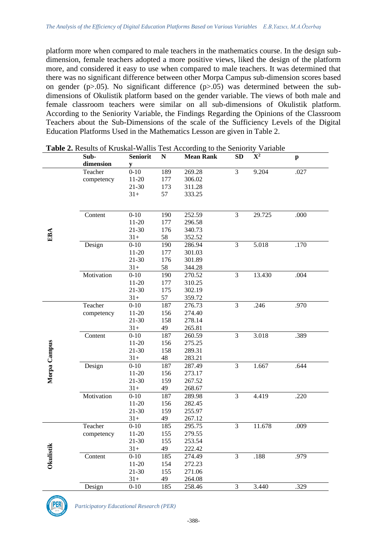platform more when compared to male teachers in the mathematics course. In the design subdimension, female teachers adopted a more positive views, liked the design of the platform more, and considered it easy to use when compared to male teachers. It was determined that there was no significant difference between other Morpa Campus sub-dimension scores based on gender ( $p>0.05$ ). No significant difference ( $p>0.05$ ) was determined between the subdimensions of Okulistik platform based on the gender variable. The views of both male and female classroom teachers were similar on all sub-dimensions of Okulistik platform. According to the Seniority Variable, the Findings Regarding the Opinions of the Classroom Teachers about the Sub-Dimensions of the scale of the Sufficiency Levels of the Digital Education Platforms Used in the Mathematics Lesson are given in Table 2.

|              | Sub-       | <b>Seniorit</b> | ${\bf N}$ | <b>Mean Rank</b> | SD             | ${\bf X}^2$ | $\mathbf{p}$ |  |
|--------------|------------|-----------------|-----------|------------------|----------------|-------------|--------------|--|
|              | dimension  | y               |           |                  |                |             |              |  |
|              | Teacher    | $0 - 10$        | 189       | 269.28           | $\overline{3}$ | 9.204       | .027         |  |
|              | competency | $11-20$         | 177       | 306.02           |                |             |              |  |
|              |            | 21-30           | 173       | 311.28           |                |             |              |  |
|              |            | $31+$           | 57        | 333.25           |                |             |              |  |
|              |            |                 |           |                  |                |             |              |  |
|              | Content    | $0 - 10$        | 190       | 252.59           | 3              | 29.725      | .000         |  |
|              |            | $11-20$         | 177       | 296.58           |                |             |              |  |
|              |            | $21 - 30$       | 176       | 340.73           |                |             |              |  |
| EBA          |            | $31+$           | 58        | 352.52           |                |             |              |  |
|              | Design     | $0 - 10$        | 190       | 286.94           | $\overline{3}$ | 5.018       | .170         |  |
|              |            | $11-20$         | 177       | 301.03           |                |             |              |  |
|              |            | 21-30           | 176       | 301.89           |                |             |              |  |
|              |            | $31+$           | 58        | 344.28           |                |             |              |  |
|              | Motivation | $0 - 10$        | 190       | 270.52           | $\overline{3}$ | 13.430      | .004         |  |
|              |            | $11-20$         | 177       | 310.25           |                |             |              |  |
|              |            | 21-30           | 175       | 302.19           |                |             |              |  |
|              |            | $31+$           | 57        | 359.72           |                |             |              |  |
|              | Teacher    | $0 - 10$        | 187       | 276.73           | 3              | .246        | .970         |  |
|              | competency | $11-20$         | 156       | 274.40           |                |             |              |  |
|              |            | 21-30           | 158       | 278.14           |                |             |              |  |
|              |            | $31+$           | 49        | 265.81           |                |             |              |  |
|              | Content    | $0 - 10$        | 187       | 260.59           | $\overline{3}$ | 3.018       | .389         |  |
|              |            | $11-20$         | 156       | 275.25           |                |             |              |  |
|              |            | 21-30           | 158       | 289.31           |                |             |              |  |
| Morpa Campus |            | $31+$           | 48        | 283.21           |                |             |              |  |
|              | Design     | $0 - 10$        | 187       | 287.49           | 3              | 1.667       | .644         |  |
|              |            | $11-20$         | 156       | 273.17           |                |             |              |  |
|              |            | 21-30           | 159       | 267.52           |                |             |              |  |
|              |            | $31+$           | 49        | 268.67           |                |             |              |  |
|              | Motivation | $0 - 10$        | 187       | 289.98           | $\overline{3}$ | 4.419       | .220         |  |
|              |            | 11-20           | 156       | 282.45           |                |             |              |  |
|              |            | 21-30           | 159       | 255.97           |                |             |              |  |
|              |            | $31+$           | 49        | 267.12           |                |             |              |  |
|              | Teacher    | $0 - 10$        | 185       | 295.75           | $\overline{3}$ | 11.678      | .009         |  |
|              | competency | $11-20$         | 155       | 279.55           |                |             |              |  |
|              |            | $21 - 30$       | 155       | 253.54           |                |             |              |  |
| Okulistik    |            | $31+$           | 49        | 222.42           |                |             |              |  |
|              | Content    | $0 - 10$        | 185       | 274.49           | $\overline{3}$ | .188        | .979         |  |
|              |            | $11-20$         | 154       | 272.23           |                |             |              |  |
|              |            | 21-30           | 155       | 271.06           |                |             |              |  |
|              |            | $31+$           | 49        | 264.08           |                |             |              |  |
|              | Design     | $0 - 10$        | 185       | 258.46           | 3              | 3.440       | .329         |  |

**Table 2.** Results of Kruskal-Wallis Test According to the Seniority Variable

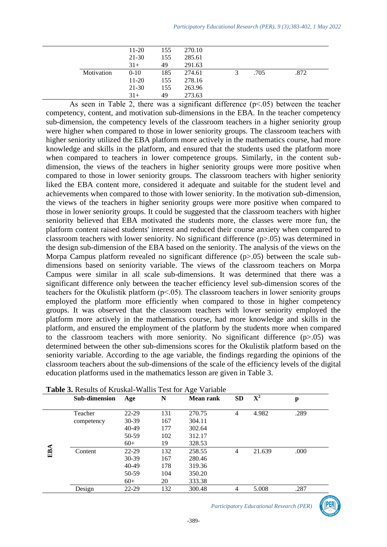|            | $11-20$ | 155 | 270.10 |      |      |
|------------|---------|-----|--------|------|------|
|            | 21-30   | 155 | 285.61 |      |      |
|            | $31+$   | 49  | 291.63 |      |      |
| Motivation | $0-10$  | 185 | 274.61 | .705 | .872 |
|            | $11-20$ | 155 | 278.16 |      |      |
|            | 21-30   | 155 | 263.96 |      |      |
|            | $31+$   | 49  | 273.63 |      |      |

As seen in Table 2, there was a significant difference  $(p<0.05)$  between the teacher competency, content, and motivation sub-dimensions in the EBA. In the teacher competency sub-dimension, the competency levels of the classroom teachers in a higher seniority group were higher when compared to those in lower seniority groups. The classroom teachers with higher seniority utilized the EBA platform more actively in the mathematics course, had more knowledge and skills in the platform, and ensured that the students used the platform more when compared to teachers in lower competence groups. Similarly, in the content subdimension, the views of the teachers in higher seniority groups were more positive when compared to those in lower seniority groups. The classroom teachers with higher seniority liked the EBA content more, considered it adequate and suitable for the student level and achievements when compared to those with lower seniority. In the motivation sub-dimension, the views of the teachers in higher seniority groups were more positive when compared to those in lower seniority groups. It could be suggested that the classroom teachers with higher seniority believed that EBA motivated the students more, the classes were more fun, the platform content raised students' interest and reduced their course anxiety when compared to classroom teachers with lower seniority. No significant difference (p>.05) was determined in the design sub-dimension of the EBA based on the seniority. The analysis of the views on the Morpa Campus platform revealed no significant difference (p>.05) between the scale subdimensions based on seniority variable. The views of the classroom teachers on Morpa Campus were similar in all scale sub-dimensions. It was determined that there was a significant difference only between the teacher efficiency level sub-dimension scores of the teachers for the Okulistik platform (p˂.05). The classroom teachers in lower seniority groups employed the platform more efficiently when compared to those in higher competency groups. It was observed that the classroom teachers with lower seniority employed the platform more actively in the mathematics course, had more knowledge and skills in the platform, and ensured the employment of the platform by the students more when compared to the classroom teachers with more seniority. No significant difference  $(p>0.05)$  was determined between the other sub-dimensions scores for the Okulistik platform based on the seniority variable. According to the age variable, the findings regarding the opinions of the classroom teachers about the sub-dimensions of the scale of the efficiency levels of the digital education platforms used in the mathematics lesson are given in Table 3.

|     | Sub-dimension | Age       | N   | <b>Mean rank</b> | <b>SD</b> | $\mathbf{X}^2$ | p    |
|-----|---------------|-----------|-----|------------------|-----------|----------------|------|
|     | Teacher       | $22 - 29$ | 131 | 270.75           | 4         | 4.982          | .289 |
|     | competency    | 30-39     | 167 | 304.11           |           |                |      |
|     |               | 40-49     | 177 | 302.64           |           |                |      |
|     |               | 50-59     | 102 | 312.17           |           |                |      |
|     |               | $60+$     | 19  | 328.53           |           |                |      |
| EBA | Content       | $22 - 29$ | 132 | 258.55           | 4         | 21.639         | .000 |
|     |               | 30-39     | 167 | 280.46           |           |                |      |
|     |               | 40-49     | 178 | 319.36           |           |                |      |
|     |               | 50-59     | 104 | 350.20           |           |                |      |
|     |               | $60+$     | 20  | 333.38           |           |                |      |
|     | Design        | $22 - 29$ | 132 | 300.48           | 4         | 5.008          | .287 |

| Table 3. Results of Kruskal-Wallis Test for Age Variable |
|----------------------------------------------------------|
|----------------------------------------------------------|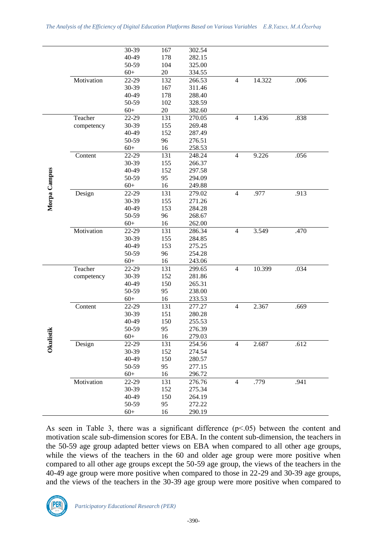|              |            | 30-39 | 167    | 302.54 |                |        |      |  |
|--------------|------------|-------|--------|--------|----------------|--------|------|--|
|              |            | 40-49 | 178    | 282.15 |                |        |      |  |
|              |            | 50-59 | 104    | 325.00 |                |        |      |  |
|              |            | $60+$ | 20     | 334.55 |                |        |      |  |
|              | Motivation | 22-29 | 132    | 266.53 | $\overline{4}$ | 14.322 | .006 |  |
|              |            | 30-39 | 167    | 311.46 |                |        |      |  |
|              |            | 40-49 | 178    | 288.40 |                |        |      |  |
|              |            | 50-59 | 102    | 328.59 |                |        |      |  |
|              |            | $60+$ | $20\,$ | 382.60 |                |        |      |  |
|              | Teacher    | 22-29 | 131    | 270.05 | $\overline{4}$ | 1.436  | .838 |  |
|              | competency | 30-39 | 155    | 269.48 |                |        |      |  |
|              |            | 40-49 | 152    | 287.49 |                |        |      |  |
|              |            | 50-59 | 96     | 276.51 |                |        |      |  |
|              |            | $60+$ | 16     | 258.53 |                |        |      |  |
|              | Content    | 22-29 | 131    | 248.24 | $\overline{4}$ | 9.226  | .056 |  |
|              |            | 30-39 | 155    | 266.37 |                |        |      |  |
|              |            | 40-49 | 152    | 297.58 |                |        |      |  |
|              |            | 50-59 | 95     | 294.09 |                |        |      |  |
|              |            | $60+$ | 16     | 249.88 |                |        |      |  |
| Morpa Campus | Design     | 22-29 | 131    | 279.02 | $\overline{4}$ | .977   | .913 |  |
|              |            | 30-39 | 155    | 271.26 |                |        |      |  |
|              |            | 40-49 | 153    | 284.28 |                |        |      |  |
|              |            | 50-59 | 96     | 268.67 |                |        |      |  |
|              |            | $60+$ | 16     | 262.00 |                |        |      |  |
|              | Motivation | 22-29 | 131    | 286.34 | $\overline{4}$ | 3.549  | .470 |  |
|              |            | 30-39 | 155    | 284.85 |                |        |      |  |
|              |            | 40-49 | 153    | 275.25 |                |        |      |  |
|              |            |       |        | 254.28 |                |        |      |  |
|              |            | 50-59 | 96     |        |                |        |      |  |
|              |            | $60+$ | 16     | 243.06 | $\overline{4}$ |        |      |  |
|              | Teacher    | 22-29 | 131    | 299.65 |                | 10.399 | .034 |  |
|              | competency | 30-39 | 152    | 281.86 |                |        |      |  |
|              |            | 40-49 | 150    | 265.31 |                |        |      |  |
|              |            | 50-59 | 95     | 238.00 |                |        |      |  |
|              |            | $60+$ | 16     | 233.53 |                |        |      |  |
|              | Content    | 22-29 | 131    | 277.27 | $\overline{4}$ | 2.367  | .669 |  |
|              |            | 30-39 | 151    | 280.28 |                |        |      |  |
|              |            | 40-49 | 150    | 255.53 |                |        |      |  |
| tik          |            | 50-59 | 95     | 276.39 |                |        |      |  |
| Okulis       |            | $60+$ | 16     | 279.03 |                |        |      |  |
|              | Design     | 22-29 | 131    | 254.56 | 4              | 2.687  | .612 |  |
|              |            | 30-39 | 152    | 274.54 |                |        |      |  |
|              |            | 40-49 | 150    | 280.57 |                |        |      |  |
|              |            | 50-59 | 95     | 277.15 |                |        |      |  |
|              |            | $60+$ | 16     | 296.72 |                |        |      |  |
|              | Motivation | 22-29 | 131    | 276.76 | $\overline{4}$ | .779   | .941 |  |
|              |            | 30-39 | 152    | 275.34 |                |        |      |  |
|              |            | 40-49 | 150    | 264.19 |                |        |      |  |
|              |            | 50-59 | 95     | 272.22 |                |        |      |  |
|              |            | $60+$ | 16     | 290.19 |                |        |      |  |

As seen in Table 3, there was a significant difference ( $p<0.05$ ) between the content and motivation scale sub-dimension scores for EBA. In the content sub-dimension, the teachers in the 50-59 age group adapted better views on EBA when compared to all other age groups, while the views of the teachers in the 60 and older age group were more positive when compared to all other age groups except the 50-59 age group, the views of the teachers in the 40-49 age group were more positive when compared to those in 22-29 and 30-39 age groups, and the views of the teachers in the 30-39 age group were more positive when compared to

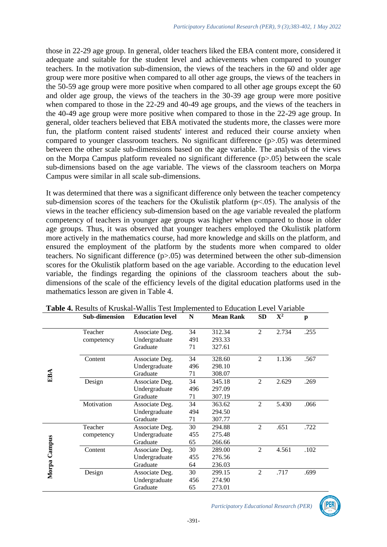those in 22-29 age group. In general, older teachers liked the EBA content more, considered it adequate and suitable for the student level and achievements when compared to younger teachers. In the motivation sub-dimension, the views of the teachers in the 60 and older age group were more positive when compared to all other age groups, the views of the teachers in the 50-59 age group were more positive when compared to all other age groups except the 60 and older age group, the views of the teachers in the 30-39 age group were more positive when compared to those in the 22-29 and 40-49 age groups, and the views of the teachers in the 40-49 age group were more positive when compared to those in the 22-29 age group. In general, older teachers believed that EBA motivated the students more, the classes were more fun, the platform content raised students' interest and reduced their course anxiety when compared to younger classroom teachers. No significant difference (p>.05) was determined between the other scale sub-dimensions based on the age variable. The analysis of the views on the Morpa Campus platform revealed no significant difference (p>.05) between the scale sub-dimensions based on the age variable. The views of the classroom teachers on Morpa Campus were similar in all scale sub-dimensions.

It was determined that there was a significant difference only between the teacher competency sub-dimension scores of the teachers for the Okulistik platform (p˂.05). The analysis of the views in the teacher efficiency sub-dimension based on the age variable revealed the platform competency of teachers in younger age groups was higher when compared to those in older age groups. Thus, it was observed that younger teachers employed the Okulistik platform more actively in the mathematics course, had more knowledge and skills on the platform, and ensured the employment of the platform by the students more when compared to older teachers. No significant difference (p>.05) was determined between the other sub-dimension scores for the Okulistik platform based on the age variable. According to the education level variable, the findings regarding the opinions of the classroom teachers about the subdimensions of the scale of the efficiency levels of the digital education platforms used in the mathematics lesson are given in Table 4.

|              | <b>Sub-dimension</b> | <b>Education level</b> | N   | <b>Mean Rank</b> | SD             | ${\bf X}^2$ | p    |
|--------------|----------------------|------------------------|-----|------------------|----------------|-------------|------|
|              | Teacher              | Associate Deg.         | 34  | 312.34           | $\overline{2}$ | 2.734       | .255 |
|              | competency           | Undergraduate          | 491 | 293.33           |                |             |      |
|              |                      | Graduate               | 71  | 327.61           |                |             |      |
|              | Content              | Associate Deg.         | 34  | 328.60           | 2              | 1.136       | .567 |
|              |                      | Undergraduate          | 496 | 298.10           |                |             |      |
| EBA          |                      | Graduate               | 71  | 308.07           |                |             |      |
|              | Design               | Associate Deg.         | 34  | 345.18           | $\overline{2}$ | 2.629       | .269 |
|              |                      | Undergraduate          | 496 | 297.09           |                |             |      |
|              |                      | Graduate               | 71  | 307.19           |                |             |      |
|              | Motivation           | Associate Deg.         | 34  | 363.62           | $\mathfrak{D}$ | 5.430       | .066 |
|              |                      | Undergraduate          | 494 | 294.50           |                |             |      |
|              |                      | Graduate               | 71  | 307.77           |                |             |      |
|              | Teacher              | Associate Deg.         | 30  | 294.88           | $\overline{2}$ | .651        | .722 |
|              | competency           | Undergraduate          | 455 | 275.48           |                |             |      |
|              |                      | Graduate               | 65  | 266.66           |                |             |      |
|              | Content              | Associate Deg.         | 30  | 289.00           | $\overline{2}$ | 4.561       | .102 |
|              |                      | Undergraduate          | 455 | 276.56           |                |             |      |
| Morpa Campus |                      | Graduate               | 64  | 236.03           |                |             |      |
|              | Design               | Associate Deg.         | 30  | 299.15           | $\overline{2}$ | .717        | .699 |
|              |                      | Undergraduate          | 456 | 274.90           |                |             |      |
|              |                      | Graduate               | 65  | 273.01           |                |             |      |

**Table 4.** Results of Kruskal-Wallis Test Implemented to Education Level Variable

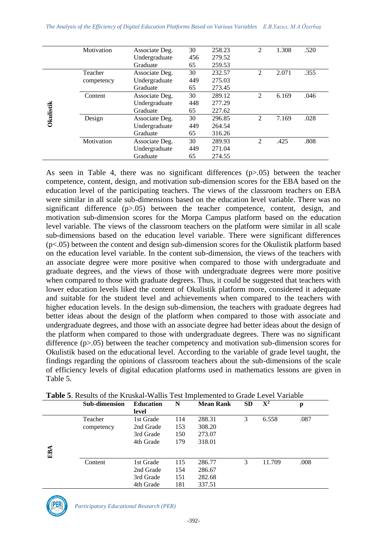|                  | Motivation                | Associate Deg. | 30  | 258.23 | 2                           | 1.308 | .520 |
|------------------|---------------------------|----------------|-----|--------|-----------------------------|-------|------|
|                  |                           | Undergraduate  | 456 | 279.52 |                             |       |      |
|                  |                           | Graduate       | 65  | 259.53 |                             |       |      |
|                  | Teacher                   | Associate Deg. | 30  | 232.57 | $\mathfrak{D}$              | 2.071 | .355 |
|                  | competency                | Undergraduate  | 449 | 275.03 |                             |       |      |
|                  |                           | Graduate       | 65  | 273.45 |                             |       |      |
|                  | Associate Deg.<br>Content |                | 30  | 289.12 | 2                           | 6.169 | .046 |
|                  |                           | Undergraduate  | 448 | 277.29 |                             |       |      |
| <b>Okulistik</b> |                           | Graduate       | 65  | 227.62 |                             |       |      |
|                  | Design                    | Associate Deg. | 30  | 296.85 | $\mathfrak{D}$              | 7.169 | .028 |
|                  |                           | Undergraduate  | 449 | 264.54 |                             |       |      |
|                  |                           | Graduate       | 65  | 316.26 |                             |       |      |
|                  | Motivation                | Associate Deg. | 30  | 289.93 | $\mathcal{D}_{\mathcal{A}}$ | .425  | .808 |
|                  |                           | Undergraduate  | 449 | 271.04 |                             |       |      |
|                  |                           | Graduate       | 65  | 274.55 |                             |       |      |

As seen in Table 4, there was no significant differences  $(p>0.05)$  between the teacher competence, content, design, and motivation sub-dimension scores for the EBA based on the education level of the participating teachers. The views of the classroom teachers on EBA were similar in all scale sub-dimensions based on the education level variable. There was no significant difference (p>.05) between the teacher competence, content, design, and motivation sub-dimension scores for the Morpa Campus platform based on the education level variable. The views of the classroom teachers on the platform were similar in all scale sub-dimensions based on the education level variable. There were significant differences (p<.05) between the content and design sub-dimension scores for the Okulistik platform based on the education level variable. In the content sub-dimension, the views of the teachers with an associate degree were more positive when compared to those with undergraduate and graduate degrees, and the views of those with undergraduate degrees were more positive when compared to those with graduate degrees. Thus, it could be suggested that teachers with lower education levels liked the content of Okulistik platform more, considered it adequate and suitable for the student level and achievements when compared to the teachers with higher education levels. In the design sub-dimension, the teachers with graduate degrees had better ideas about the design of the platform when compared to those with associate and undergraduate degrees, and those with an associate degree had better ideas about the design of the platform when compared to those with undergraduate degrees. There was no significant difference (p>.05) between the teacher competency and motivation sub-dimension scores for Okulistik based on the educational level. According to the variable of grade level taught, the findings regarding the opinions of classroom teachers about the sub-dimensions of the scale of efficiency levels of digital education platforms used in mathematics lessons are given in Table 5.

|     | Sub-dimension | <b>Education</b> | N   | <b>Mean Rank</b> | <b>SD</b> | ${\bf X}^2$ | p    |  |
|-----|---------------|------------------|-----|------------------|-----------|-------------|------|--|
|     |               | level            |     |                  |           |             |      |  |
|     | Teacher       | 1st Grade        | 114 | 288.31           | 3         | 6.558       | .087 |  |
|     | competency    | 2nd Grade        | 153 | 308.20           |           |             |      |  |
|     |               | 3rd Grade        | 150 | 273.07           |           |             |      |  |
|     |               | 4th Grade        | 179 | 318.01           |           |             |      |  |
| EBA |               |                  |     |                  |           |             |      |  |
|     |               |                  |     |                  |           |             |      |  |
|     | Content       | 1st Grade        | 115 | 286.77           | 3         | 11.709      | .008 |  |
|     |               | 2nd Grade        | 154 | 286.67           |           |             |      |  |
|     |               | 3rd Grade        | 151 | 282.68           |           |             |      |  |
|     |               | 4th Grade        | 181 | 337.51           |           |             |      |  |

**Table 5**. Results of the Kruskal-Wallis Test Implemented to Grade Level Variable

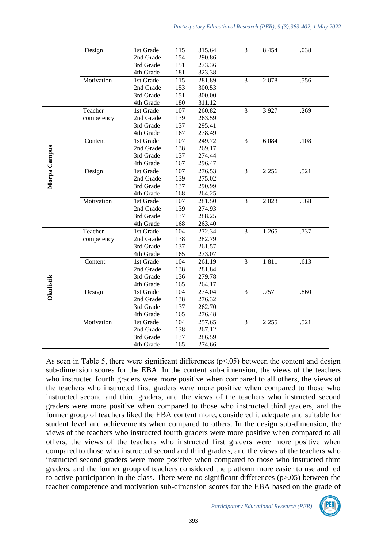|              | Design     | 1st Grade | 115 | 315.64 | $\overline{3}$ | 8.454 | .038 |  |
|--------------|------------|-----------|-----|--------|----------------|-------|------|--|
|              |            | 2nd Grade | 154 | 290.86 |                |       |      |  |
|              |            | 3rd Grade | 151 | 273.36 |                |       |      |  |
|              |            | 4th Grade | 181 | 323.38 |                |       |      |  |
|              | Motivation | 1st Grade | 115 | 281.89 | $\overline{3}$ | 2.078 | .556 |  |
|              |            | 2nd Grade | 153 | 300.53 |                |       |      |  |
|              |            | 3rd Grade | 151 | 300.00 |                |       |      |  |
|              |            | 4th Grade | 180 | 311.12 |                |       |      |  |
|              | Teacher    | 1st Grade | 107 | 260.82 | $\overline{3}$ | 3.927 | .269 |  |
|              | competency | 2nd Grade | 139 | 263.59 |                |       |      |  |
|              |            | 3rd Grade | 137 | 295.41 |                |       |      |  |
|              |            | 4th Grade | 167 | 278.49 |                |       |      |  |
|              | Content    | 1st Grade | 107 | 249.72 | $\overline{3}$ | 6.084 | .108 |  |
|              |            | 2nd Grade | 138 | 269.17 |                |       |      |  |
|              |            | 3rd Grade | 137 | 274.44 |                |       |      |  |
|              |            | 4th Grade | 167 | 296.47 |                |       |      |  |
| Morpa Campus | Design     | 1st Grade | 107 | 276.53 | 3              | 2.256 | .521 |  |
|              |            | 2nd Grade | 139 | 275.02 |                |       |      |  |
|              |            | 3rd Grade | 137 | 290.99 |                |       |      |  |
|              |            | 4th Grade | 168 | 264.25 |                |       |      |  |
|              | Motivation | 1st Grade | 107 | 281.50 | $\overline{3}$ | 2.023 | .568 |  |
|              |            | 2nd Grade | 139 | 274.93 |                |       |      |  |
|              |            | 3rd Grade | 137 | 288.25 |                |       |      |  |
|              |            | 4th Grade | 168 | 263.40 |                |       |      |  |
|              | Teacher    | 1st Grade | 104 | 272.34 | $\overline{3}$ | 1.265 | .737 |  |
|              | competency | 2nd Grade | 138 | 282.79 |                |       |      |  |
|              |            | 3rd Grade | 137 | 261.57 |                |       |      |  |
|              |            | 4th Grade | 165 | 273.07 |                |       |      |  |
|              | Content    | 1st Grade | 104 | 261.19 | $\overline{3}$ | 1.811 | .613 |  |
|              |            | 2nd Grade | 138 | 281.84 |                |       |      |  |
|              |            | 3rd Grade | 136 | 279.78 |                |       |      |  |
|              |            | 4th Grade | 165 | 264.17 |                |       |      |  |
| Okulistik    | Design     | 1st Grade | 104 | 274.04 | 3              | .757  | .860 |  |
|              |            | 2nd Grade | 138 | 276.32 |                |       |      |  |
|              |            | 3rd Grade | 137 | 262.70 |                |       |      |  |
|              |            | 4th Grade | 165 | 276.48 |                |       |      |  |
|              | Motivation | 1st Grade | 104 | 257.65 | 3              | 2.255 | .521 |  |
|              |            | 2nd Grade | 138 | 267.12 |                |       |      |  |
|              |            | 3rd Grade | 137 | 286.59 |                |       |      |  |
|              |            | 4th Grade | 165 | 274.66 |                |       |      |  |

As seen in Table 5, there were significant differences  $(p<0.05)$  between the content and design sub-dimension scores for the EBA. In the content sub-dimension, the views of the teachers who instructed fourth graders were more positive when compared to all others, the views of the teachers who instructed first graders were more positive when compared to those who instructed second and third graders, and the views of the teachers who instructed second graders were more positive when compared to those who instructed third graders, and the former group of teachers liked the EBA content more, considered it adequate and suitable for student level and achievements when compared to others. In the design sub-dimension, the views of the teachers who instructed fourth graders were more positive when compared to all others, the views of the teachers who instructed first graders were more positive when compared to those who instructed second and third graders, and the views of the teachers who instructed second graders were more positive when compared to those who instructed third graders, and the former group of teachers considered the platform more easier to use and led to active participation in the class. There were no significant differences  $(p>0.05)$  between the teacher competence and motivation sub-dimension scores for the EBA based on the grade of

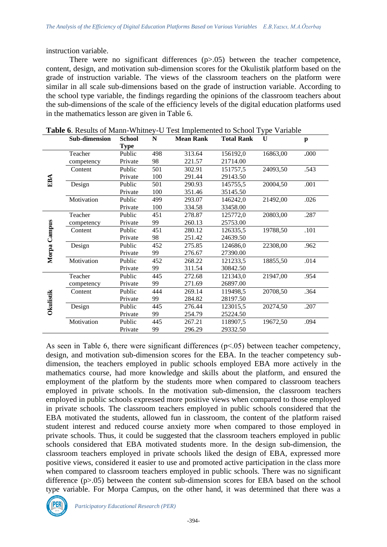instruction variable.

There were no significant differences (p>.05) between the teacher competence, content, design, and motivation sub-dimension scores for the Okulistik platform based on the grade of instruction variable. The views of the classroom teachers on the platform were similar in all scale sub-dimensions based on the grade of instruction variable. According to the school type variable, the findings regarding the opinions of the classroom teachers about the sub-dimensions of the scale of the efficiency levels of the digital education platforms used in the mathematics lesson are given in Table 6.

| <b>Sub-dimension</b> | <b>School</b> | N   | <b>Mean Rank</b> | <b>Total Rank</b> | U        | $\mathbf{p}$ |
|----------------------|---------------|-----|------------------|-------------------|----------|--------------|
|                      | <b>Type</b>   |     |                  |                   |          |              |
| Teacher              | Public        | 498 | 313.64           | 156192,0          | 16863,00 | .000         |
| competency           | Private       | 98  | 221.57           | 21714.00          |          |              |
| Content              | Public        | 501 | 302.91           | 151757,5          | 24093,50 | .543         |
|                      | Private       | 100 | 291.44           | 29143.50          |          |              |
| Design               | Public        | 501 | 290.93           | 145755,5          | 20004,50 | .001         |
|                      | Private       | 100 | 351.46           | 35145.50          |          |              |
| Motivation           | Public        | 499 | 293.07           | 146242,0          | 21492,00 | .026         |
|                      | Private       | 100 | 334.58           | 33458.00          |          |              |
| Teacher              | Public        | 451 | 278.87           | 125772,0          | 20803,00 | .287         |
| competency           | Private       | 99  | 260.13           | 25753.00          |          |              |
| Content              | Public        | 451 | 280.12           | 126335,5          | 19788,50 | .101         |
|                      | Private       | 98  | 251.42           | 24639.50          |          |              |
| Design               | Public        | 452 | 275.85           | 124686,0          | 22308,00 | .962         |
|                      | Private       | 99  | 276.67           | 27390.00          |          |              |
| Motivation           | Public        | 452 | 268.22           | 121233,5          | 18855,50 | .014         |
|                      | Private       | 99  | 311.54           | 30842.50          |          |              |
| Teacher              | Public        | 445 | 272.68           | 121343,0          | 21947,00 | .954         |
| competency           | Private       | 99  | 271.69           | 26897.00          |          |              |
| Content              | Public        | 444 | 269.14           | 119498.5          | 20708,50 | .364         |
|                      | Private       | 99  | 284.82           | 28197.50          |          |              |
| Design               | Public        | 445 | 276.44           | 123015,5          | 20274,50 | .207         |
|                      | Private       | 99  | 254.79           | 25224.50          |          |              |
| Motivation           | Public        | 445 | 267.21           | 118907,5          | 19672,50 | .094         |
|                      | Private       | 99  | 296.29           | 29332.50          |          |              |
|                      |               |     |                  |                   |          |              |

**Table 6**. Results of Mann-Whitney-U Test Implemented to School Type Variable

As seen in Table 6, there were significant differences ( $p<0.05$ ) between teacher competency, design, and motivation sub-dimension scores for the EBA. In the teacher competency subdimension, the teachers employed in public schools employed EBA more actively in the mathematics course, had more knowledge and skills about the platform, and ensured the employment of the platform by the students more when compared to classroom teachers employed in private schools. In the motivation sub-dimension, the classroom teachers employed in public schools expressed more positive views when compared to those employed in private schools. The classroom teachers employed in public schools considered that the EBA motivated the students, allowed fun in classroom, the content of the platform raised student interest and reduced course anxiety more when compared to those employed in private schools. Thus, it could be suggested that the classroom teachers employed in public schools considered that EBA motivated students more. In the design sub-dimension, the classroom teachers employed in private schools liked the design of EBA, expressed more positive views, considered it easier to use and promoted active participation in the class more when compared to classroom teachers employed in public schools. There was no significant difference  $(p>0.05)$  between the content sub-dimension scores for EBA based on the school type variable. For Morpa Campus, on the other hand, it was determined that there was a

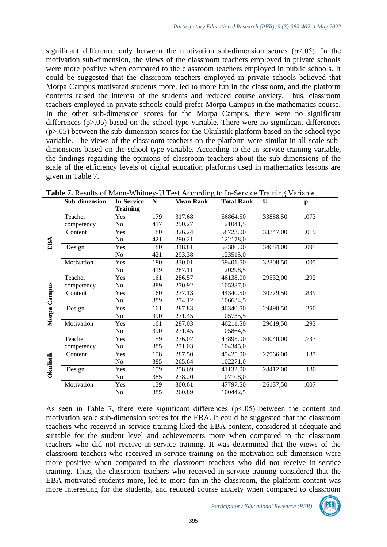significant difference only between the motivation sub-dimension scores  $(p<.05)$ . In the motivation sub-dimension, the views of the classroom teachers employed in private schools were more positive when compared to the classroom teachers employed in public schools. It could be suggested that the classroom teachers employed in private schools believed that Morpa Campus motivated students more, led to more fun in the classroom, and the platform contents raised the interest of the students and reduced course anxiety. Thus, classroom teachers employed in private schools could prefer Morpa Campus in the mathematics course. In the other sub-dimension scores for the Morpa Campus, there were no significant differences (p>.05) based on the school type variable. There were no significant differences  $(p>0.05)$  between the sub-dimension scores for the Okulistik platform based on the school type variable. The views of the classroom teachers on the platform were similar in all scale subdimensions based on the school type variable. According to the in-service training variable, the findings regarding the opinions of classroom teachers about the sub-dimensions of the scale of the efficiency levels of digital education platforms used in mathematics lessons are given in Table 7.

|                  | Sub-dimension | <b>In-Service</b> | N   | <b>Mean Rank</b> | <b>Total Rank</b> | U        | $\mathbf p$ |
|------------------|---------------|-------------------|-----|------------------|-------------------|----------|-------------|
|                  |               | <b>Training</b>   |     |                  |                   |          |             |
|                  | Teacher       | Yes               | 179 | 317.68           | 56864.50          | 33888,50 | .073        |
|                  | competency    | No                | 417 | 290.27           | 121041,5          |          |             |
|                  | Content       | Yes               | 180 | 326.24           | 58723.00          | 33347,00 | .019        |
|                  |               | N <sub>o</sub>    | 421 | 290.21           | 122178,0          |          |             |
| EBA              | Design        | Yes               | 180 | 318.81           | 57386.00          | 34684,00 | .095        |
|                  |               | No                | 421 | 293.38           | 123515,0          |          |             |
|                  | Motivation    | Yes               | 180 | 330.01           | 59401.50          | 32308,50 | .005        |
|                  |               | N <sub>o</sub>    | 419 | 287.11           | 120298,5          |          |             |
|                  | Teacher       | Yes               | 161 | 286.57           | 46138.00          | 29532,00 | .292        |
|                  | competency    | No                | 389 | 270.92           | 105387,0          |          |             |
|                  | Content       | Yes               | 160 | 277.13           | 44340.50          | 30779,50 | .839        |
| Morpa Campus     |               | No                | 389 | 274.12           | 106634,5          |          |             |
|                  | Design        | Yes               | 161 | 287.83           | 46340.50          | 29490,50 | .250        |
|                  |               | N <sub>o</sub>    | 390 | 271.45           | 105735,5          |          |             |
|                  | Motivation    | Yes               | 161 | 287.03           | 46211.50          | 29619,50 | .293        |
|                  |               | No                | 390 | 271.45           | 105864,5          |          |             |
|                  | Teacher       | Yes               | 159 | 276.07           | 43895.00          | 30040,00 | .733        |
|                  | competency    | N <sub>o</sub>    | 385 | 271.03           | 104345,0          |          |             |
|                  | Content       | Yes               | 158 | 287.50           | 45425.00          | 27966,00 | .137        |
| <b>Okulistik</b> |               | No                | 385 | 265.64           | 102271,0          |          |             |
|                  | Design        | Yes               | 159 | 258.69           | 41132.00          | 28412,00 | .180        |
|                  |               | N <sub>o</sub>    | 385 | 278.20           | 107108,0          |          |             |
|                  | Motivation    | Yes               | 159 | 300.61           | 47797.50          | 26137,50 | .007        |
|                  |               | N <sub>o</sub>    | 385 | 260.89           | 100442,5          |          |             |

**Table 7.** Results of Mann-Whitney-U Test According to In-Service Training Variable

As seen in Table 7, there were significant differences (p˂.05) between the content and motivation scale sub-dimension scores for the EBA. It could be suggested that the classroom teachers who received in-service training liked the EBA content, considered it adequate and suitable for the student level and achievements more when compared to the classroom teachers who did not receive in-service training. It was determined that the views of the classroom teachers who received in-service training on the motivation sub-dimension were more positive when compared to the classroom teachers who did not receive in-service training. Thus, the classroom teachers who received in-service training considered that the EBA motivated students more, led to more fun in the classroom, the platform content was more interesting for the students, and reduced course anxiety when compared to classroom

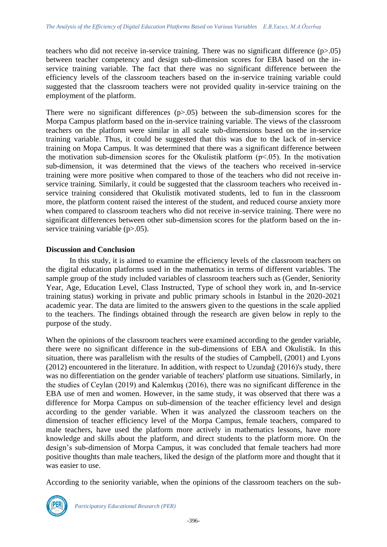teachers who did not receive in-service training. There was no significant difference  $(p>0.05)$ between teacher competency and design sub-dimension scores for EBA based on the inservice training variable. The fact that there was no significant difference between the efficiency levels of the classroom teachers based on the in-service training variable could suggested that the classroom teachers were not provided quality in-service training on the employment of the platform.

There were no significant differences  $(p>0.05)$  between the sub-dimension scores for the Morpa Campus platform based on the in-service training variable. The views of the classroom teachers on the platform were similar in all scale sub-dimensions based on the in-service training variable. Thus, it could be suggested that this was due to the lack of in-service training on Mopa Campus. It was determined that there was a significant difference between the motivation sub-dimension scores for the Okulistik platform  $(p<0.05)$ . In the motivation sub-dimension, it was determined that the views of the teachers who received in-service training were more positive when compared to those of the teachers who did not receive inservice training. Similarly, it could be suggested that the classroom teachers who received inservice training considered that Okulistik motivated students, led to fun in the classroom more, the platform content raised the interest of the student, and reduced course anxiety more when compared to classroom teachers who did not receive in-service training. There were no significant differences between other sub-dimension scores for the platform based on the inservice training variable (p>.05).

#### **Discussion and Conclusion**

In this study, it is aimed to examine the efficiency levels of the classroom teachers on the digital education platforms used in the mathematics in terms of different variables. The sample group of the study included variables of classroom teachers such as (Gender, Seniority Year, Age, Education Level, Class Instructed, Type of school they work in, and In-service training status) working in private and public primary schools in Istanbul in the 2020-2021 academic year. The data are limited to the answers given to the questions in the scale applied to the teachers. The findings obtained through the research are given below in reply to the purpose of the study.

When the opinions of the classroom teachers were examined according to the gender variable, there were no significant difference in the sub-dimensions of EBA and Okulistik. In this situation, there was parallelism with the results of the studies of Campbell, (2001) and Lyons (2012) encountered in the literature. In addition, with respect to Uzundağ (2016)'s study, there was no differentiation on the gender variable of teachers' platform use situations. Similarly, in the studies of Ceylan (2019) and Kalemkuş (2016), there was no significant difference in the EBA use of men and women. However, in the same study, it was observed that there was a difference for Morpa Campus on sub-dimension of the teacher efficiency level and design according to the gender variable. When it was analyzed the classroom teachers on the dimension of teacher efficiency level of the Morpa Campus, female teachers, compared to male teachers, have used the platform more actively in mathematics lessons, have more knowledge and skills about the platform, and direct students to the platform more. On the design's sub-dimension of Morpa Campus, it was concluded that female teachers had more positive thoughts than male teachers, liked the design of the platform more and thought that it was easier to use.

According to the seniority variable, when the opinions of the classroom teachers on the sub-

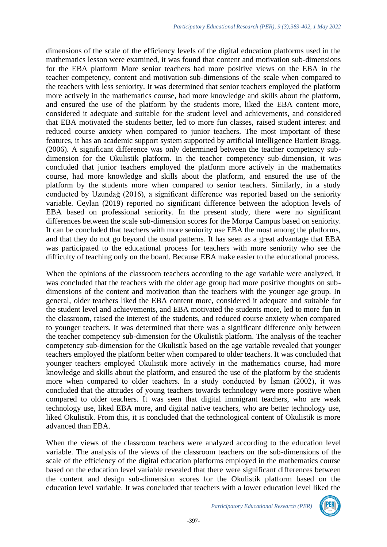dimensions of the scale of the efficiency levels of the digital education platforms used in the mathematics lesson were examined, it was found that content and motivation sub-dimensions for the EBA platform More senior teachers had more positive views on the EBA in the teacher competency, content and motivation sub-dimensions of the scale when compared to the teachers with less seniority. It was determined that senior teachers employed the platform more actively in the mathematics course, had more knowledge and skills about the platform, and ensured the use of the platform by the students more, liked the EBA content more, considered it adequate and suitable for the student level and achievements, and considered that EBA motivated the students better, led to more fun classes, raised student interest and reduced course anxiety when compared to junior teachers. The most important of these features, it has an academic support system supported by artificial intelligence Bartlett Bragg, (2006). A significant difference was only determined between the teacher competency subdimension for the Okulistik platform. In the teacher competency sub-dimension, it was concluded that junior teachers employed the platform more actively in the mathematics course, had more knowledge and skills about the platform, and ensured the use of the platform by the students more when compared to senior teachers. Similarly, in a study conducted by Uzundağ (2016), a significant difference was reported based on the seniority variable. Ceylan (2019) reported no significant difference between the adoption levels of EBA based on professional seniority. In the present study, there were no significant differences between the scale sub-dimension scores for the Morpa Campus based on seniority. It can be concluded that teachers with more seniority use EBA the most among the platforms, and that they do not go beyond the usual patterns. It has seen as a great advantage that EBA was participated to the educational process for teachers with more seniority who see the difficulty of teaching only on the board. Because EBA make easier to the educational process.

When the opinions of the classroom teachers according to the age variable were analyzed, it was concluded that the teachers with the older age group had more positive thoughts on subdimensions of the content and motivation than the teachers with the younger age group. In general, older teachers liked the EBA content more, considered it adequate and suitable for the student level and achievements, and EBA motivated the students more, led to more fun in the classroom, raised the interest of the students, and reduced course anxiety when compared to younger teachers. It was determined that there was a significant difference only between the teacher competency sub-dimension for the Okulistik platform. The analysis of the teacher competency sub-dimension for the Okulistik based on the age variable revealed that younger teachers employed the platform better when compared to older teachers. It was concluded that younger teachers employed Okulistik more actively in the mathematics course, had more knowledge and skills about the platform, and ensured the use of the platform by the students more when compared to older teachers. In a study conducted by İşman (2002), it was concluded that the attitudes of young teachers towards technology were more positive when compared to older teachers. It was seen that digital immigrant teachers, who are weak technology use, liked EBA more, and digital native teachers, who are better technology use, liked Okulistik. From this, it is concluded that the technological content of Okulistik is more advanced than EBA.

When the views of the classroom teachers were analyzed according to the education level variable. The analysis of the views of the classroom teachers on the sub-dimensions of the scale of the efficiency of the digital education platforms employed in the mathematics course based on the education level variable revealed that there were significant differences between the content and design sub-dimension scores for the Okulistik platform based on the education level variable. It was concluded that teachers with a lower education level liked the

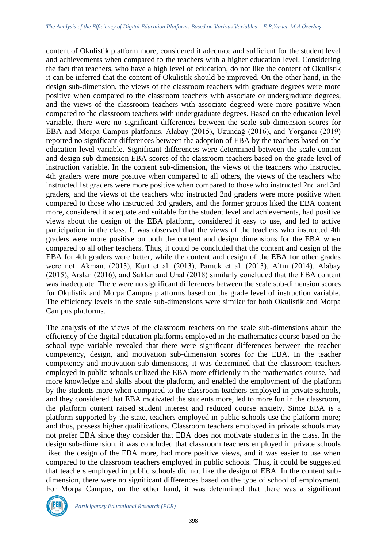content of Okulistik platform more, considered it adequate and sufficient for the student level and achievements when compared to the teachers with a higher education level. Considering the fact that teachers, who have a high level of education, do not like the content of Okulistik it can be inferred that the content of Okulistik should be improved. On the other hand, in the design sub-dimension, the views of the classroom teachers with graduate degrees were more positive when compared to the classroom teachers with associate or undergraduate degrees, and the views of the classroom teachers with associate degreed were more positive when compared to the classroom teachers with undergraduate degrees. Based on the education level variable, there were no significant differences between the scale sub-dimension scores for EBA and Morpa Campus platforms. Alabay (2015), Uzundağ (2016), and Yorgancı (2019) reported no significant differences between the adoption of EBA by the teachers based on the education level variable. Significant differences were determined between the scale content and design sub-dimension EBA scores of the classroom teachers based on the grade level of instruction variable. In the content sub-dimension, the views of the teachers who instructed 4th graders were more positive when compared to all others, the views of the teachers who instructed 1st graders were more positive when compared to those who instructed 2nd and 3rd graders, and the views of the teachers who instructed 2nd graders were more positive when compared to those who instructed 3rd graders, and the former groups liked the EBA content more, considered it adequate and suitable for the student level and achievements, had positive views about the design of the EBA platform, considered it easy to use, and led to active participation in the class. It was observed that the views of the teachers who instructed 4th graders were more positive on both the content and design dimensions for the EBA when compared to all other teachers. Thus, it could be concluded that the content and design of the EBA for 4th graders were better, while the content and design of the EBA for other grades were not. Akman, (2013), Kurt et al. (2013), Pamuk et al. (2013), Altın (2014), Alabay (2015), Arslan (2016), and Saklan and Ünal (2018) similarly concluded that the EBA content was inadequate. There were no significant differences between the scale sub-dimension scores for Okulistik and Morpa Campus platforms based on the grade level of instruction variable. The efficiency levels in the scale sub-dimensions were similar for both Okulistik and Morpa Campus platforms.

The analysis of the views of the classroom teachers on the scale sub-dimensions about the efficiency of the digital education platforms employed in the mathematics course based on the school type variable revealed that there were significant differences between the teacher competency, design, and motivation sub-dimension scores for the EBA. In the teacher competency and motivation sub-dimensions, it was determined that the classroom teachers employed in public schools utilized the EBA more efficiently in the mathematics course, had more knowledge and skills about the platform, and enabled the employment of the platform by the students more when compared to the classroom teachers employed in private schools, and they considered that EBA motivated the students more, led to more fun in the classroom, the platform content raised student interest and reduced course anxiety. Since EBA is a platform supported by the state, teachers employed in public schools use the platform more; and thus, possess higher qualifications. Classroom teachers employed in private schools may not prefer EBA since they consider that EBA does not motivate students in the class. In the design sub-dimension, it was concluded that classroom teachers employed in private schools liked the design of the EBA more, had more positive views, and it was easier to use when compared to the classroom teachers employed in public schools. Thus, it could be suggested that teachers employed in public schools did not like the design of EBA. In the content subdimension, there were no significant differences based on the type of school of employment. For Morpa Campus, on the other hand, it was determined that there was a significant

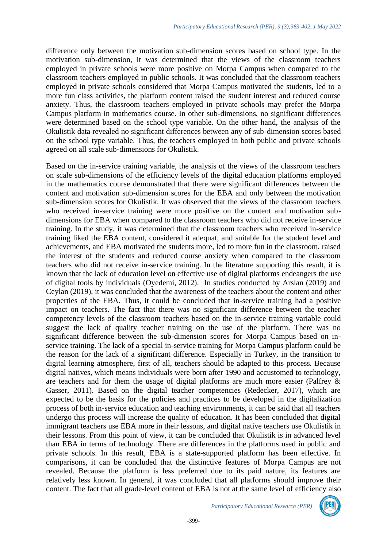difference only between the motivation sub-dimension scores based on school type. In the motivation sub-dimension, it was determined that the views of the classroom teachers employed in private schools were more positive on Morpa Campus when compared to the classroom teachers employed in public schools. It was concluded that the classroom teachers employed in private schools considered that Morpa Campus motivated the students, led to a more fun class activities, the platform content raised the student interest and reduced course anxiety. Thus, the classroom teachers employed in private schools may prefer the Morpa Campus platform in mathematics course. In other sub-dimensions, no significant differences were determined based on the school type variable. On the other hand, the analysis of the Okulistik data revealed no significant differences between any of sub-dimension scores based on the school type variable. Thus, the teachers employed in both public and private schools agreed on all scale sub-dimensions for Okulistik.

Based on the in-service training variable, the analysis of the views of the classroom teachers on scale sub-dimensions of the efficiency levels of the digital education platforms employed in the mathematics course demonstrated that there were significant differences between the content and motivation sub-dimension scores for the EBA and only between the motivation sub-dimension scores for Okulistik. It was observed that the views of the classroom teachers who received in-service training were more positive on the content and motivation subdimensions for EBA when compared to the classroom teachers who did not receive in-service training. In the study, it was determined that the classroom teachers who received in-service training liked the EBA content, considered it adequat, and suitable for the student level and achievements, and EBA motivated the students more, led to more fun in the classroom, raised the interest of the students and reduced course anxiety when compared to the classroom teachers who did not receive in-service training. In the literature supporting this result, it is known that the lack of education level on effective use of digital platforms endeangers the use of digital tools by individuals (Oyedemi, 2012). In studies conducted by Arslan (2019) and Ceylan (2019), it was concluded that the awareness of the teachers about the content and other properties of the EBA. Thus, it could be concluded that in-service training had a positive impact on teachers. The fact that there was no significant difference between the teacher competency levels of the classroom teachers based on the in-service training variable could suggest the lack of quality teacher training on the use of the platform. There was no significant difference between the sub-dimension scores for Morpa Campus based on inservice training. The lack of a special in-service training for Morpa Campus platform could be the reason for the lack of a significant difference. Especially in Turkey, in the transition to digital learning atmosphere, first of all, teachers should be adapted to this process. Because digital natives, which means individuals were born after 1990 and accustomed to technology, are teachers and for them the usage of digital platforms are much more easier (Palfrey & Gasser, 2011). Based on the digital teacher competencies (Redecker, 2017), which are expected to be the basis for the policies and practices to be developed in the digitalization process of both in-service education and teaching environments, it can be said that all teachers undergo this process will increase the quality of education. It has been concluded that digital immigrant teachers use EBA more in their lessons, and digital native teachers use Okulistik in their lessons. From this point of view, it can be concluded that Okulistik is in advanced level than EBA in terms of technology. There are differences in the platforms used in public and private schools. In this result, EBA is a state-supported platform has been effective. In comparisons, it can be concluded that the distinctive features of Morpa Campus are not revealed. Because the platform is less preferred due to its paid nature, its features are relatively less known. In general, it was concluded that all platforms should improve their content. The fact that all grade-level content of EBA is not at the same level of efficiency also

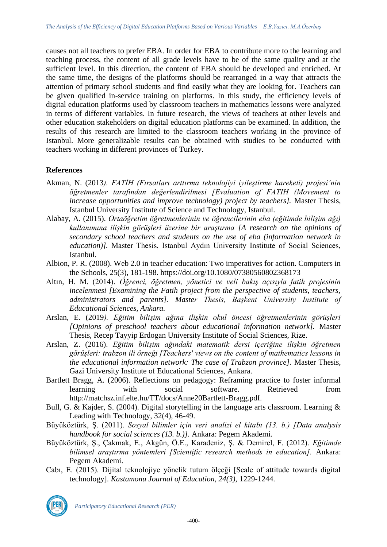causes not all teachers to prefer EBA. In order for EBA to contribute more to the learning and teaching process, the content of all grade levels have to be of the same quality and at the sufficient level. In this direction, the content of EBA should be developed and enriched. At the same time, the designs of the platforms should be rearranged in a way that attracts the attention of primary school students and find easily what they are looking for. Teachers can be given qualified in-service training on platforms. In this study, the efficiency levels of digital education platforms used by classroom teachers in mathematics lessons were analyzed in terms of different variables. In future research, the views of teachers at other levels and other education stakeholders on digital education platforms can be examined. In addition, the results of this research are limited to the classroom teachers working in the province of Istanbul. More generalizable results can be obtained with studies to be conducted with teachers working in different provinces of Turkey.

### **References**

- Akman, N. (2013*). FATİH (Fırsatları arttırma teknolojiyi iyileştirme hareketi) projesi'nin öğretmenler tarafından değerlendirilmesi [Evaluation of FATIH (Movement to increase opportunities and improve technology) project by teachers].* Master Thesis, Istanbul University Institute of Science and Technology, Istanbul.
- Alabay, A. (2015). *Ortaöğretim öğretmenlerinin ve öğrencilerinin eba (eğitimde bilişim ağı) kullanımına ilişkin görüşleri üzerine bir araştırma [A research on the opinions of secondary school teachers and students on the use of eba (information network in education)]*. Master Thesis, Istanbul Aydın University Institute of Social Sciences, Istanbul.
- Albion, P. R. (2008). Web 2.0 in teacher education: Two imperatives for action. Computers in the Schools, 25(3), 181-198. https://doi.org/10.1080/07380560802368173
- Altın, H. M. (2014). *Öğrenci, öğretmen, yönetici ve veli bakış açısıyla fatih projesinin incelenmesi [Examining the Fatih project from the perspective of students, teachers, administrators and parents]. Master Thesis, Başkent University Institute of Educational Sciences, Ankara.*
- Arslan, E. (2019*). Eğitim bilişim ağına ilişkin okul öncesi öğretmenlerinin görüşleri [Opinions of preschool teachers about educational information network].* Master Thesis, Recep Tayyip Erdogan University Institute of Social Sciences, Rize.
- Arslan, Z. (2016). *Eğitim bilişim ağındaki matematik dersi içeriğine ilişkin öğretmen görüşleri: trabzon ili örneği [Teachers' views on the content of mathematics lessons in the educational information network: The case of Trabzon province].* Master Thesis, Gazi University Institute of Educational Sciences, Ankara.
- Bartlett Bragg, A. (2006). Reflections on pedagogy: Reframing practice to foster informal learning with social software. Retrieved from http://matchsz.inf.elte.hu/TT/docs/Anne20Bartlett-Bragg.pdf.
- Bull, G. & Kajder, S. (2004). Digital storytelling in the language arts classroom. Learning & Leading with Technology, 32(4), 46-49.
- Büyüköztürk, Ş. (2011). *Sosyal bilimler için veri analizi el kitabı (13. b.) [Data analysis handbook for social sciences (13. b.)].* Ankara: Pegem Akademi.
- Büyüköztürk, Ş., Çakmak, E., Akgün, Ö.E., Karadeniz, Ş. & Demirel, F. (2012). *Eğitimde bilimsel araştırma yöntemleri [Scientific research methods in education].* Ankara: Pegem Akademi.
- Cabı, E. (2015). Dijital teknolojiye yönelik tutum ölçeği [Scale of attitude towards digital technology]. *Kastamonu Journal of Education, 24(3),* 1229-1244.

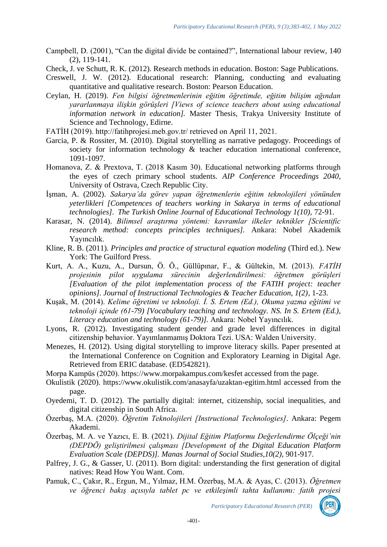Campbell, D. (2001), "Can the digital divide be contained?", International labour review, 140 (2), 119-141.

Check, J. ve Schutt, R. K. (2012). Research methods in education. Boston: Sage Publications.

- Creswell, J. W. (2012). Educational research: Planning, conducting and evaluating quantitative and qualitative research. Boston: Pearson Education.
- Ceylan, H. (2019). *Fen bilgisi öğretmenlerinin eğitim öğretimde, eğitim bilişim ağından yararlanmaya ilişkin görüşleri [Views of science teachers about using educational information network in education].* Master Thesis, Trakya University Institute of Science and Technology, Edirne.
- FATİH (2019). http://fatihprojesi.meb.gov.tr/ retrieved on April 11, 2021.
- Garcia, P. & Rossiter, M. (2010). Digital storytelling as narrative pedagogy. Proceedings of society for information technology & teacher education international conference, 1091-1097.
- Homanova, Z. & Prextova, T. (2018 Kasım 30). Educational networking platforms through the eyes of czech primary school students. *AIP Conference Proceedings 2040*, University of Ostrava, Czech Republic City.
- İşman, A. (2002). *Sakarya'da görev yapan öğretmenlerin eğitim teknolojileri yönünden yeterlikleri [Competences of teachers working in Sakarya in terms of educational technologies]*. *The Turkish Online Journal of Educational Technology 1(10),* 72-91.
- Karasar, N. (2014). *Bilimsel araştırma yöntemi: kavramlar ilkeler teknikler [Scientific research method: concepts principles techniques].* Ankara: Nobel Akademik Yayıncılık.
- Kline, R. B. (2011). *Principles and practice of structural equation modeling* (Third ed.). New York: The Guilford Press.
- Kurt, A. A., Kuzu, A., Dursun, Ö. Ö., Güllüpınar, F., & Gültekin, M. (2013). *FATİH projesinin pilot uygulama sürecinin değerlendirilmesi: öğretmen görüşleri [Evaluation of the pilot implementation process of the FATIH project: teacher opinions]*. *Journal of Instructional Technologies & Teacher Education, 1(2)*, 1-23.
- Kuşak, M. (2014). *Kelime öğretimi ve teknoloji. İ. S. Ertem (Ed.), Okuma yazma eğitimi ve teknoloji içinde (61-79) [Vocabulary teaching and technology. NS. In S. Ertem (Ed.), Literacy education and technology (61-79)].* Ankara: Nobel Yayıncılık.
- Lyons, R. (2012). Investigating student gender and grade level differences in digital citizenship behavior. Yayımlanmamış Doktora Tezi. USA: Walden University.
- Menezes, H. (2012). Using digital storytelling to improve literacy skills. Paper presented at the International Conference on Cognition and Exploratory Learning in Digital Age. Retrieved from ERIC database. (ED542821).
- Morpa Kampüs (2020). https://www.morpakampus.com/kesfet accessed from the page.
- Okulistik (2020). https://www.okulistik.com/anasayfa/uzaktan-egitim.html accessed from the page.
- Oyedemi, T. D. (2012). The partially digital: internet, citizenship, social inequalities, and digital citizenship in South Africa.
- Özerbaş, M.A. (2020). *Öğretim Teknolojileri [Instructional Technologies]*. Ankara: Pegem Akademi.
- Özerbaş, M. A. ve Yazıcı, E. B. (2021). *Dijital Eğitim Platformu Değerlendirme Ölçeği'nin (DEPDÖ) geliştirilmesi çalışması [Development of the Digital Education Platform Evaluation Scale (DEPDS)]. Manas Journal of Social Studies,10(2),* 901-917.
- Palfrey, J. G., & Gasser, U. (2011). Born digital: understanding the first generation of digital natives: Read How You Want. Com.
- Pamuk, C., Çakır, R., Ergun, M., Yılmaz, H.M. Özerbaş, M.A. & Ayas, C. (2013). *Öğretmen ve öğrenci bakış açısıyla tablet pc ve etkileşimli tahta kullanımı: fatih projesi*